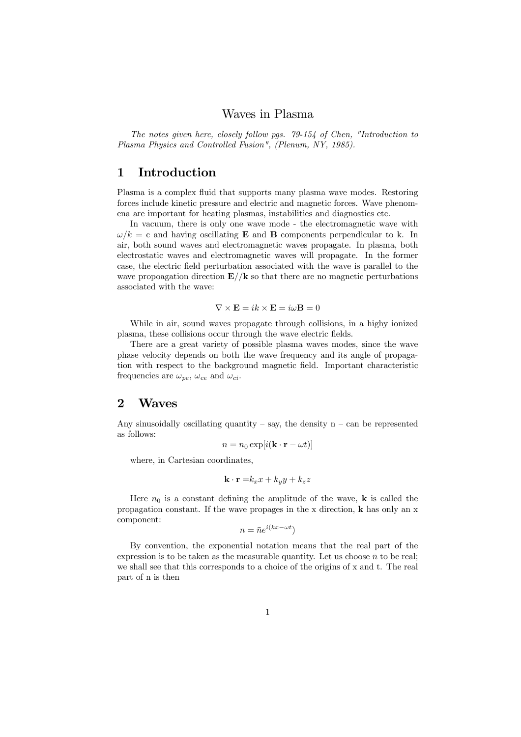#### Waves in Plasma

The notes given here, closely follow pgs. 79-154 of Chen, "Introduction to Plasma Physics and Controlled Fusion", (Plenum, NY, 1985).

# 1 Introduction

Plasma is a complex fluid that supports many plasma wave modes. Restoring forces include kinetic pressure and electric and magnetic forces. Wave phenomena are important for heating plasmas, instabilities and diagnostics etc.

In vacuum, there is only one wave mode - the electromagnetic wave with  $\omega/k = c$  and having oscillating **E** and **B** components perpendicular to k. In air, both sound waves and electromagnetic waves propagate. In plasma, both electrostatic waves and electromagnetic waves will propagate. In the former case, the electric field perturbation associated with the wave is parallel to the wave propoagation direction  $\mathbf{E}/k$  so that there are no magnetic perturbations associated with the wave:

$$
\nabla \times \mathbf{E} = ik \times \mathbf{E} = i\omega \mathbf{B} = 0
$$

While in air, sound waves propagate through collisions, in a highy ionized plasma, these collisions occur through the wave electric fields.

There are a great variety of possible plasma waves modes, since the wave phase velocity depends on both the wave frequency and its angle of propagation with respect to the background magnetic field. Important characteristic frequencies are  $\omega_{pe}$ ,  $\omega_{ce}$  and  $\omega_{ci}$ .

#### 2 Waves

Any sinusoidally oscillating quantity – say, the density  $n - can$  be represented as follows:

$$
n = n_0 \exp[i(\mathbf{k} \cdot \mathbf{r} - \omega t)]
$$

where, in Cartesian coordinates,

$$
\mathbf{k} \cdot \mathbf{r} = k_x x + k_y y + k_z z
$$

Here  $n_0$  is a constant defining the amplitude of the wave, **k** is called the propagation constant. If the wave propages in the x direction, k has only an x component:

$$
n = \bar{n}e^{i(kx - \omega t})
$$

By convention, the exponential notation means that the real part of the expression is to be taken as the measurable quantity. Let us choose  $\bar{n}$  to be real; we shall see that this corresponds to a choice of the origins of x and t. The real part of n is then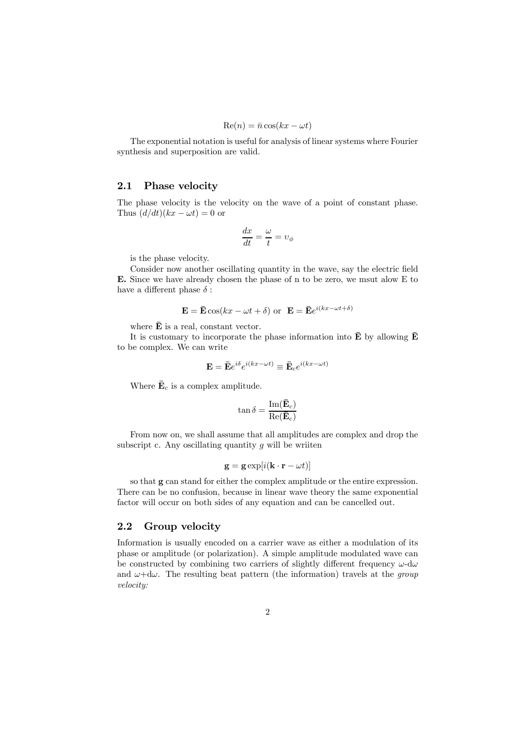$$
\operatorname{Re}(n) = \bar{n}\cos(kx - \omega t)
$$

The exponential notation is useful for analysis of linear systems where Fourier synthesis and superposition are valid.

#### 2.1 Phase velocity

The phase velocity is the velocity on the wave of a point of constant phase. Thus  $(d/dt)(kx - \omega t) = 0$  or

$$
\frac{dx}{dt}=\frac{\omega}{t}=v_{\phi}
$$

is the phase velocity.

Consider now another oscillating quantity in the wave, say the electric field E. Since we have already chosen the phase of n to be zero, we msut alow E to have a different phase  $\delta$  :

$$
\mathbf{E} = \mathbf{\bar{E}} \cos(kx - \omega t + \delta) \text{ or } \mathbf{E} = \mathbf{\bar{E}} e^{i(kx - \omega t + \delta)}
$$

where  $\bar{\mathbf{E}}$  is a real, constant vector.

It is customary to incorporate the phase information into  $\bar{\mathbf{E}}$  by allowing  $\bar{\mathbf{E}}$ to be complex. We can write

$$
\mathbf{E} = \bar{\mathbf{E}} e^{i\delta} e^{i(kx - \omega t)} \equiv \bar{\mathbf{E}}_c e^{i(kx - \omega t)}
$$

Where  $\bar{\mathbf{E}}_c$  is a complex amplitude.

$$
\tan\delta=\frac{\mathrm{Im}(\bar{\mathbf{E}}_c)}{\mathrm{Re}(\bar{\mathbf{E}}_c)}
$$

From now on, we shall assume that all amplitudes are complex and drop the subscript c. Any oscillating quantity  $g$  will be written

$$
\mathbf{g} = \mathbf{g} \exp[i(\mathbf{k} \cdot \mathbf{r} - \omega t)]
$$

so that g can stand for either the complex amplitude or the entire expression. There can be no confusion, because in linear wave theory the same exponential factor will occur on both sides of any equation and can be cancelled out.

#### 2.2 Group velocity

Information is usually encoded on a carrier wave as either a modulation of its phase or amplitude (or polarization). A simple amplitude modulated wave can be constructed by combining two carriers of slightly different frequency  $\omega$ -d $\omega$ and  $\omega + d\omega$ . The resulting beat pattern (the information) travels at the *group* velocity: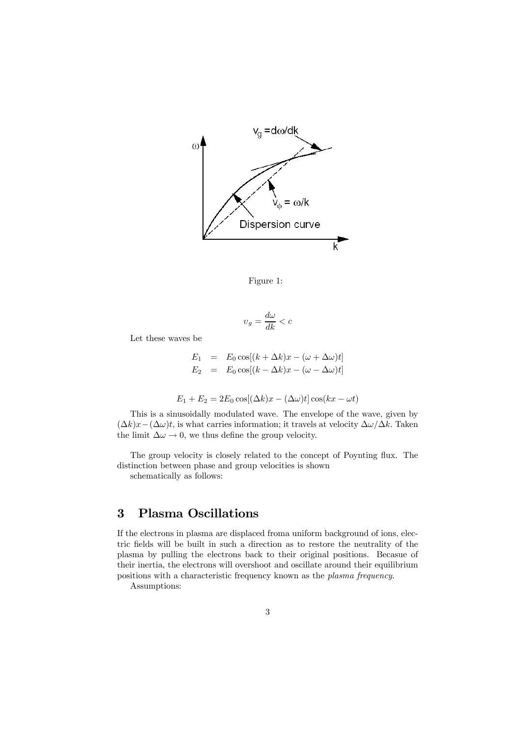

Figure 1:

$$
\upsilon_g=\frac{d\omega}{dk}
$$

Let these waves be

$$
E_1 = E_0 \cos[(k + \Delta k)x - (\omega + \Delta \omega)t]
$$
  
\n
$$
E_2 = E_0 \cos[(k - \Delta k)x - (\omega - \Delta \omega)t]
$$

$$
E_1 + E_2 = 2E_0 \cos[(\Delta k)x - (\Delta \omega)t] \cos(kx - \omega t)
$$

This is a sinusoidally modulated wave. The envelope of the wave, given by  $(\Delta k)x-(\Delta \omega)t$ , is what carries information; it travels at velocity  $\Delta \omega/\Delta k$ . Taken the limit  $\Delta \omega \rightarrow 0$ , we thus define the group velocity.

The group velocity is closely related to the concept of Poynting flux. The distinction between phase and group velocities is shown

schematically as follows:

# 3 Plasma Oscillations

If the electrons in plasma are displaced froma uniform background of ions, electric fields will be built in such a direction as to restore the neutrality of the plasma by pulling the electrons back to their original positions. Becasue of their inertia, the electrons will overshoot and oscillate around their equilibrium positions with a characteristic frequency known as the plasma frequency.

Assumptions: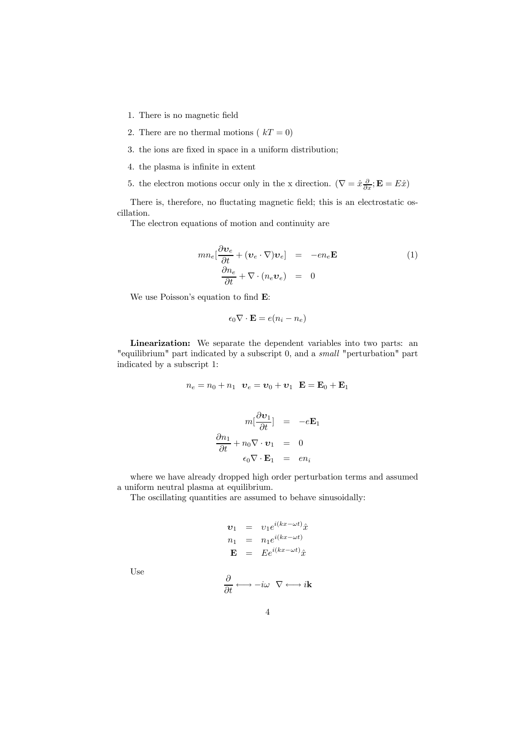- 1. There is no magnetic field
- 2. There are no thermal motions ( $kT = 0$ )
- 3. the ions are fixed in space in a uniform distribution;
- 4. the plasma is infinite in extent
- 5. the electron motions occur only in the x direction.  $(\nabla = \hat{x} \frac{\partial}{\partial x}; \mathbf{E} = E\hat{x})$

There is, therefore, no fluctating magnetic field; this is an electrostatic oscillation.

The electron equations of motion and continuity are

$$
mn_e\left[\frac{\partial \mathbf{v}_e}{\partial t} + (\mathbf{v}_e \cdot \nabla)\mathbf{v}_e\right] = -en_e \mathbf{E}
$$
  

$$
\frac{\partial n_e}{\partial t} + \nabla \cdot (n_e \mathbf{v}_e) = 0
$$
 (1)

We use Poisson's equation to find E:

$$
\epsilon_0 \nabla \cdot \mathbf{E} = e(n_i - n_e)
$$

Linearization: We separate the dependent variables into two parts: an "equilibrium" part indicated by a subscript 0, and a small "perturbation" part indicated by a subscript 1:

$$
n_e = n_0 + n_1 \quad \boldsymbol{v}_e = \boldsymbol{v}_0 + \boldsymbol{v}_1 \quad \mathbf{E} = \mathbf{E}_0 + \mathbf{E}_1
$$

$$
m\left[\frac{\partial \mathbf{v}_1}{\partial t}\right] = -e\mathbf{E}_1
$$

$$
\frac{\partial n_1}{\partial t} + n_0 \nabla \cdot \mathbf{v}_1 = 0
$$

$$
\epsilon_0 \nabla \cdot \mathbf{E}_1 = en_i
$$

where we have already dropped high order perturbation terms and assumed a uniform neutral plasma at equilibrium.

The oscillating quantities are assumed to behave sinusoidally:

$$
\mathbf{v}_1 = v_1 e^{i(kx - \omega t)} \hat{x}
$$
  
\n
$$
n_1 = n_1 e^{i(kx - \omega t)}
$$
  
\n
$$
\mathbf{E} = E e^{i(kx - \omega t)} \hat{x}
$$

Use

$$
\frac{\partial}{\partial t} \longleftrightarrow -i\omega \ \nabla \longleftrightarrow i\mathbf{k}
$$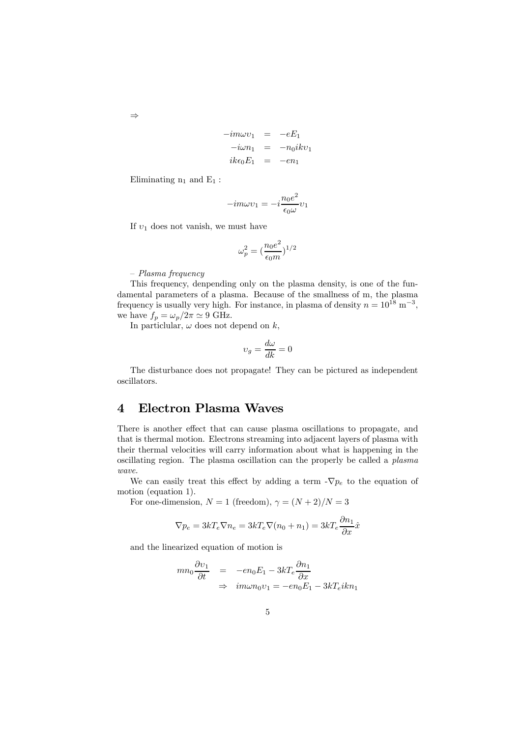$$
-im\omega v_1 = -eE_1
$$
  

$$
-i\omega n_1 = -n_0ikv_1
$$
  

$$
ik\epsilon_0 E_1 = -en_1
$$

Eliminating  $n_1$  and  $E_1$ :

$$
-im\omega v_1 = -i\frac{n_0 e^2}{\epsilon_0 \omega} v_1
$$

If  $v_1$  does not vanish, we must have

$$
\omega_p^2 = \big(\frac{n_0e^2}{\epsilon_0m}\big)^{1/2}
$$

— Plasma frequency

This frequency, denpending only on the plasma density, is one of the fundamental parameters of a plasma. Because of the smallness of m, the plasma frequency is usually very high. For instance, in plasma of density  $n = 10^{18} \text{ m}^{-3}$ , we have  $f_p = \omega_p / 2 \pi \simeq 9$  GHz.

In particlular,  $\omega$  does not depend on  $k$ ,

$$
v_g = \frac{d\omega}{dk} = 0
$$

The disturbance does not propagate! They can be pictured as independent oscillators.

## 4 Electron Plasma Waves

There is another effect that can cause plasma oscillations to propagate, and that is thermal motion. Electrons streaming into adjacent layers of plasma with their thermal velocities will carry information about what is happening in the oscillating region. The plasma oscillation can the properly be called a plasma wave.

We can easily treat this effect by adding a term  $-\nabla p_e$  to the equation of motion (equation 1).

For one-dimension,  $N = 1$  (freedom),  $\gamma = (N + 2)/N = 3$ 

$$
\nabla p_e = 3kT_e \nabla n_e = 3kT_e \nabla (n_0 + n_1) = 3kT_e \frac{\partial n_1}{\partial x} \hat{x}
$$

and the linearized equation of motion is

$$
mn_0 \frac{\partial v_1}{\partial t} = -en_0 E_1 - 3kT_e \frac{\partial n_1}{\partial x}
$$
  
\n
$$
\Rightarrow \quad im\omega n_0 v_1 = -en_0 E_1 - 3kT_e i k n_1
$$

⇒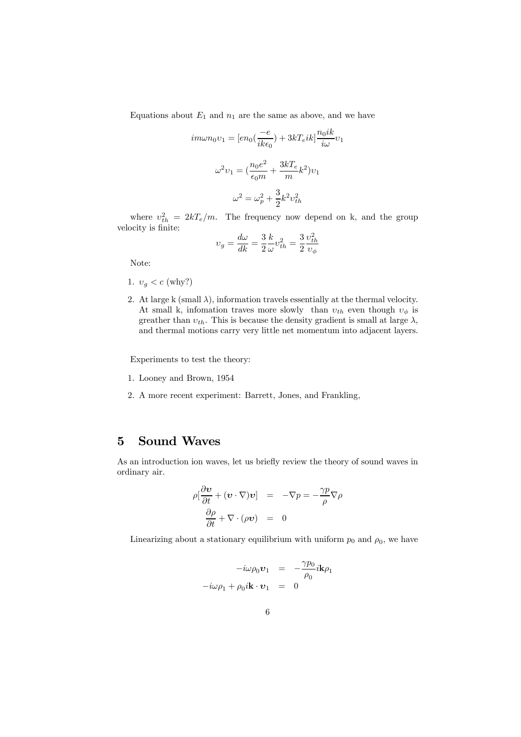Equations about  $E_1$  and  $n_1$  are the same as above, and we have

$$
im\omega n_0 \upsilon_1 = [en_0(\frac{-e}{ik\epsilon_0}) + 3kT_eik] \frac{n_0ik}{i\omega} \upsilon_1
$$

$$
\omega^2 \upsilon_1 = (\frac{n_0e^2}{\epsilon_0m} + \frac{3kT_e}{m}k^2) \upsilon_1
$$

$$
\omega^2 = \omega_p^2 + \frac{3}{2}k^2 \upsilon_{th}^2
$$

where  $v_{th}^2 = 2kT_e/m$ . The frequency now depend on k, and the group velocity is finite:

$$
v_g = \frac{d\omega}{dk} = \frac{3}{2} \frac{k}{\omega} v_{th}^2 = \frac{3}{2} \frac{v_{th}^2}{v_{\phi}}
$$

Note:

- 1.  $v_q < c$  (why?)
- 2. At large k (small  $\lambda$ ), information travels essentially at the thermal velocity. At small k, infomation traves more slowly than  $v_{th}$  even though  $v_{\phi}$  is greather than  $v_{th}$ . This is because the density gradient is small at large  $\lambda$ , and thermal motions carry very little net momentum into adjacent layers.

Experiments to test the theory:

- 1. Looney and Brown, 1954
- 2. A more recent experiment: Barrett, Jones, and Frankling,

# 5 Sound Waves

As an introduction ion waves, let us briefly review the theory of sound waves in ordinary air.

$$
\rho \left[ \frac{\partial \mathbf{v}}{\partial t} + (\mathbf{v} \cdot \nabla) \mathbf{v} \right] = -\nabla p = -\frac{\gamma p}{\rho} \nabla \rho
$$

$$
\frac{\partial \rho}{\partial t} + \nabla \cdot (\rho \mathbf{v}) = 0
$$

Linearizing about a stationary equilibrium with uniform  $p_0$  and  $\rho_0$ , we have

$$
-i\omega \rho_0 \mathbf{v}_1 = -\frac{\gamma p_0}{\rho_0} i \mathbf{k} \rho_1
$$

$$
-i\omega \rho_1 + \rho_0 i \mathbf{k} \cdot \mathbf{v}_1 = 0
$$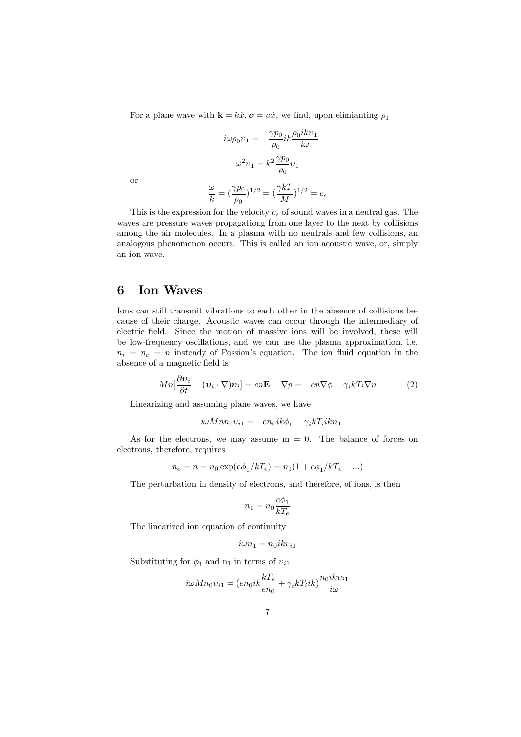For a plane wave with  $\mathbf{k} = k\hat{x}, \mathbf{v} = v\hat{x}$ , we find, upon elimianting  $\rho_1$ 

$$
-i\omega \rho_0 v_1 = -\frac{\gamma p_0}{\rho_0} i k \frac{\rho_0 i k v_1}{i\omega}
$$

$$
\omega^2 v_1 = k^2 \frac{\gamma p_0}{\rho_0} v_1
$$

or

$$
\frac{\omega}{k} = (\frac{\gamma p_0}{\rho_0})^{1/2} = (\frac{\gamma k T}{M})^{1/2} = c_s
$$

This is the expression for the velocity  $c_s$  of sound waves in a neutral gas. The waves are pressure waves propagationg from one layer to the next by collisions among the air molecules. In a plasma with no neutrals and few collisions, an analogous phenomenon occurs. This is called an ion acoustic wave, or, simply an ion wave.

# 6 Ion Waves

Ions can still transmit vibrations to each other in the absence of collisions because of their charge. Acoustic waves can occur through the intermediary of electric field. Since the motion of massive ions will be involved, these will be low-frequency oscillations, and we can use the plasma approximation, i.e.  $n_i = n_e = n$  insteady of Possion's equation. The ion fluid equation in the absence of a magnetic field is

$$
Mn[\frac{\partial \mathbf{v}_i}{\partial t} + (\mathbf{v}_i \cdot \nabla)\mathbf{v}_i] = en\mathbf{E} - \nabla p = -en\nabla \phi - \gamma_i k T_i \nabla n \tag{2}
$$

Linearizing and assuming plane waves, we have

$$
-i\omega Mnn_0v_{i1} = -en_0ik\phi_1 - \gamma_i kT_iikn_1
$$

As for the electrons, we may assume  $m = 0$ . The balance of forces on electrons, therefore, requires

$$
n_e = n = n_0 \exp(e\phi_1/kT_e) = n_0(1 + e\phi_1/kT_e + ...)
$$

The perturbation in density of electrons, and therefore, of ions, is then

$$
n_1=n_0\frac{e\phi_1}{kT_e}
$$

The linearized ion equation of continuity

$$
i\omega n_1=n_0ikv_{i1}
$$

Substituting for  $\phi_1$  and  $n_1$  in terms of  $v_{i1}$ 

$$
i\omega Mn_0v_{i1}=(en_0ik\frac{kT_e}{en_0}+\gamma_ikT_iik)\frac{n_0ikv_{i1}}{i\omega}
$$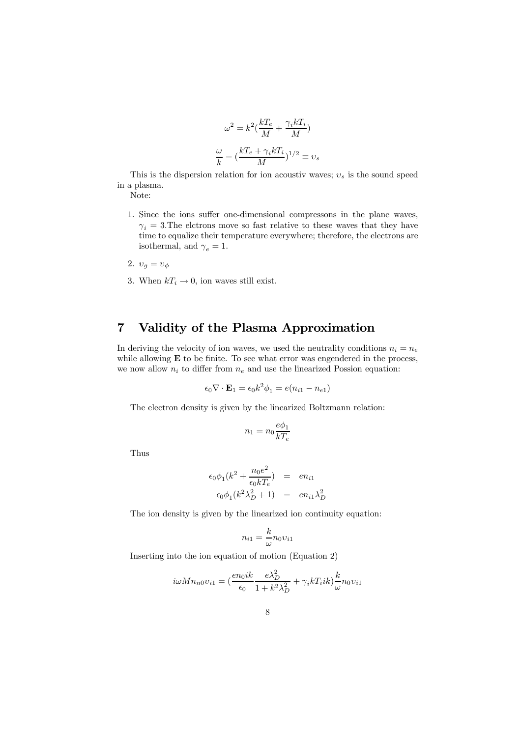$$
\omega^2 = k^2 \left( \frac{kT_e}{M} + \frac{\gamma_i kT_i}{M} \right)
$$

$$
\frac{\omega}{k} = \left( \frac{kT_e + \gamma_i kT_i}{M} \right)^{1/2} \equiv v_s
$$

This is the dispersion relation for ion acoustiv waves;  $v_s$  is the sound speed in a plasma.

Note:

- 1. Since the ions suffer one-dimensional compressons in the plane waves,  $\gamma_i = 3$ . The elctrons move so fast relative to these waves that they have time to equalize their temperature everywhere; therefore, the electrons are isothermal, and  $\gamma_e = 1$ .
- 2.  $v_g = v_{\phi}$
- 3. When  $kT_i \rightarrow 0$ , ion waves still exist.

# 7 Validity of the Plasma Approximation

In deriving the velocity of ion waves, we used the neutrality conditions  $n_i = n_e$ while allowing **E** to be finite. To see what error was engendered in the process, we now allow  $n_i$  to differ from  $n_e$  and use the linearized Possion equation:

$$
\epsilon_0 \nabla \cdot \mathbf{E}_1 = \epsilon_0 k^2 \phi_1 = e(n_{i1} - n_{e1})
$$

The electron density is given by the linearized Boltzmann relation:

$$
n_1 = n_0 \frac{e\phi_1}{kT_e}
$$

Thus

$$
\epsilon_0 \phi_1 (k^2 + \frac{n_0 e^2}{\epsilon_0 k T_e}) = en_{i1}
$$
  

$$
\epsilon_0 \phi_1 (k^2 \lambda_D^2 + 1) = en_{i1} \lambda_D^2
$$

The ion density is given by the linearized ion continuity equation:

$$
n_{i1}=\frac{k}{\omega}n_{0} \upsilon_{i1}
$$

Inserting into the ion equation of motion (Equation 2)

$$
i\omega Mn_{n0}v_{i1} = \left(\frac{en_0ik}{\epsilon_0}\frac{e\lambda_D^2}{1+k^2\lambda_D^2} + \gamma_i kT_iik\right)\frac{k}{\omega}n_0v_{i1}
$$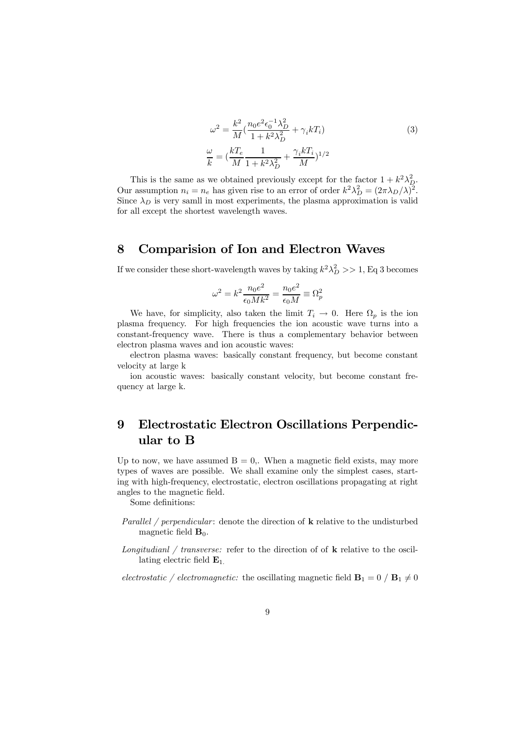$$
\omega^2 = \frac{k^2}{M} \left( \frac{n_0 e^2 \epsilon_0^{-1} \lambda_D^2}{1 + k^2 \lambda_D^2} + \gamma_i k T_i \right)
$$
\n
$$
\frac{\omega}{k} = \left( \frac{kT_e}{M} \frac{1}{1 + k^2 \lambda_D^2} + \frac{\gamma_i k T_i}{M} \right)^{1/2}
$$
\n(3)

This is the same as we obtained previously except for the factor  $1 + k^2 \lambda_D^2$ . Our assumption  $n_i = n_e$  has given rise to an error of order  $k^2 \lambda_D^2 = (2\pi \lambda_D/\lambda)^2$ . Since  $\lambda_D$  is very samll in most experiments, the plasma approximation is valid for all except the shortest wavelength waves.

## 8 Comparision of Ion and Electron Waves

If we consider these short-wavelength waves by taking  $k^2 \lambda_D^2 >> 1$ , Eq 3 becomes

$$
\omega^2 = k^2 \frac{n_0 e^2}{\epsilon_0 M k^2} = \frac{n_0 e^2}{\epsilon_0 M} \equiv \Omega_p^2
$$

We have, for simplicity, also taken the limit  $T_i \to 0$ . Here  $\Omega_p$  is the ion plasma frequency. For high frequencies the ion acoustic wave turns into a constant-frequency wave. There is thus a complementary behavior between electron plasma waves and ion acoustic waves:

electron plasma waves: basically constant frequency, but become constant velocity at large k

ion acoustic waves: basically constant velocity, but become constant frequency at large k.

# 9 Electrostatic Electron Oscillations Perpendicular to B

Up to now, we have assumed  $B = 0$ . When a magnetic field exists, may more types of waves are possible. We shall examine only the simplest cases, starting with high-frequency, electrostatic, electron oscillations propagating at right angles to the magnetic field.

Some definitions:

- Parallel / perpendicular: denote the direction of  $k$  relative to the undisturbed magnetic field  $\mathbf{B}_0$ .
- Longitudianl / transverse: refer to the direction of of  $k$  relative to the oscillating electric field  $\mathbf{E}_1$ .

electrostatic / electromagnetic: the oscillating magnetic field  $\mathbf{B}_1 = 0$  /  $\mathbf{B}_1 \neq 0$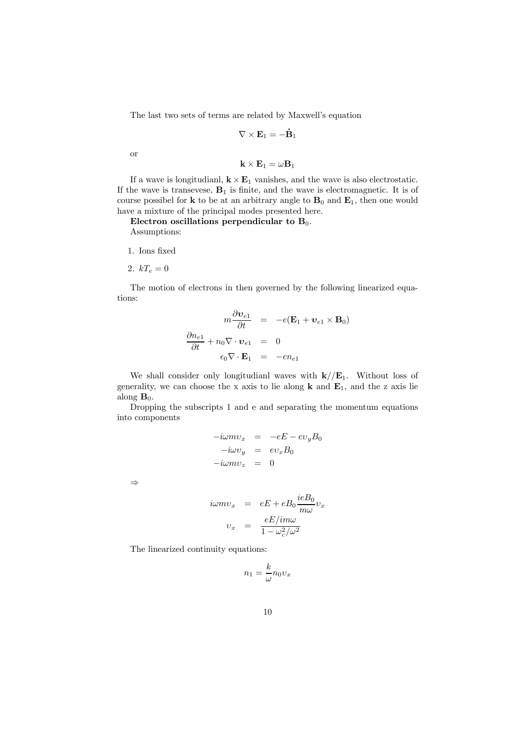The last two sets of terms are related by Maxwell's equation

$$
\nabla \times \mathbf{E}_1 = -\dot{\mathbf{B}}_1
$$

or

$$
\mathbf{k}\times\mathbf{E}_1=\omega\mathbf{B}_1
$$

If a wave is longitudianl,  $\mathbf{k} \times \mathbf{E}_1$  vanishes, and the wave is also electrostatic. If the wave is transevese,  $B_1$  is finite, and the wave is electromagnetic. It is of course possibel for  $k$  to be at an arbitrary angle to  $B_0$  and  $E_1$ , then one would have a mixture of the principal modes presented here.

Electron oscillations perpendicular to  $B_0$ . Assumptions:

- 1. Ions fixed
- 2.  $kT_e = 0$

The motion of electrons in then governed by the following linearized equations:

$$
m\frac{\partial \mathbf{v}_{e1}}{\partial t} = -e(\mathbf{E}_1 + \mathbf{v}_{e1} \times \mathbf{B}_0)
$$

$$
\frac{\partial n_{e1}}{\partial t} + n_0 \nabla \cdot \mathbf{v}_{e1} = 0
$$

$$
\epsilon_0 \nabla \cdot \mathbf{E}_1 = -e n_{e1}
$$

We shall consider only longitudianl waves with  $k/\mathbf{E}_1$ . Without loss of generality, we can choose the x axis to lie along  $k$  and  $E_1$ , and the z axis lie along  $\mathbf{B}_0$ .

Dropping the subscripts 1 and e and separating the momentum equations into components

$$
-i\omega m v_x = -eE - ev_y B_0
$$

$$
-i\omega v_y = ev_x B_0
$$

$$
-i\omega m v_z = 0
$$

⇒

$$
i\omega mv_x = eE + eB_0 \frac{ieB_0}{m\omega} v_x
$$

$$
v_x = \frac{eE/im\omega}{1 - \omega_c^2/\omega^2}
$$

The linearized continuity equations:

$$
n_1 = \frac{k}{\omega} n_0 v_x
$$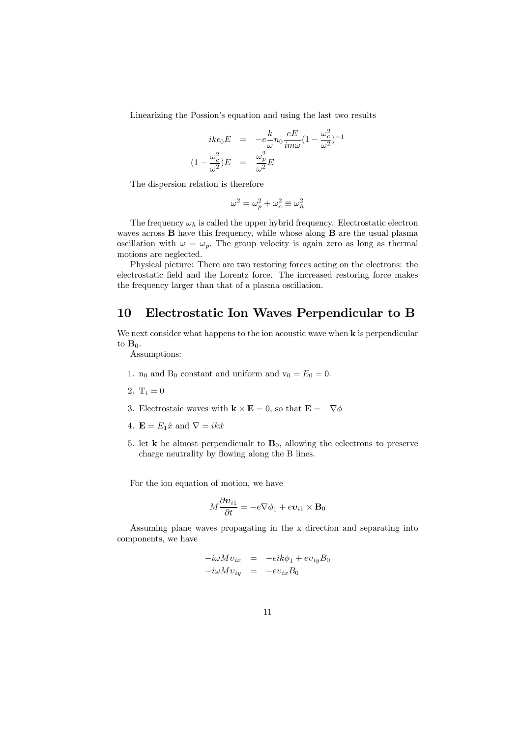Linearizing the Possion's equation and using the last two results

$$
ik\epsilon_0 E = -e\frac{k}{\omega} n_0 \frac{eE}{im\omega} (1 - \frac{\omega_c^2}{\omega^2})^{-1}
$$

$$
(1 - \frac{\omega_c^2}{\omega^2})E = \frac{\omega_p^2}{\omega^2} E
$$

The dispersion relation is therefore

$$
\omega^2 = \omega_p^2 + \omega_c^2 \equiv \omega_h^2
$$

The frequency  $\omega_h$  is called the upper hybrid frequency. Electrostatic electron waves across **B** have this frequency, while whose along **B** are the usual plasma oscillation with  $\omega = \omega_p$ . The group velocity is again zero as long as thermal motions are neglected.

Physical picture: There are two restoring forces acting on the electrons: the electrostatic field and the Lorentz force. The increased restoring force makes the frequency larger than that of a plasma oscillation.

### 10 Electrostatic Ion Waves Perpendicular to B

We next consider what happens to the ion acoustic wave when  $k$  is perpendicular to  $\mathbf{B}_0$ .

Assumptions:

- 1.  $n_0$  and  $B_0$  constant and uniform and  $v_0 = E_0 = 0$ .
- 2.  $T_i = 0$
- 3. Electrostaic waves with  $\mathbf{k} \times \mathbf{E} = 0$ , so that  $\mathbf{E} = -\nabla \phi$
- 4.  $\mathbf{E} = E_1 \hat{x}$  and  $\nabla = ik\hat{x}$
- 5. let **k** be almost perpendicualr to  $\mathbf{B}_0$ , allowing the eclectrons to preserve charge neutrality by flowing along the B lines.

For the ion equation of motion, we have

$$
M\frac{\partial \boldsymbol{v}_{i1}}{\partial t} = -e\nabla \phi_1 + e \boldsymbol{v}_{i1} \times \mathbf{B}_0
$$

Assuming plane waves propagating in the x direction and separating into components, we have

$$
-i\omega Mv_{ix} = -ei k\phi_1 + ev_{iy}B_0
$$

$$
-i\omega Mv_{iy} = -ev_{ix}B_0
$$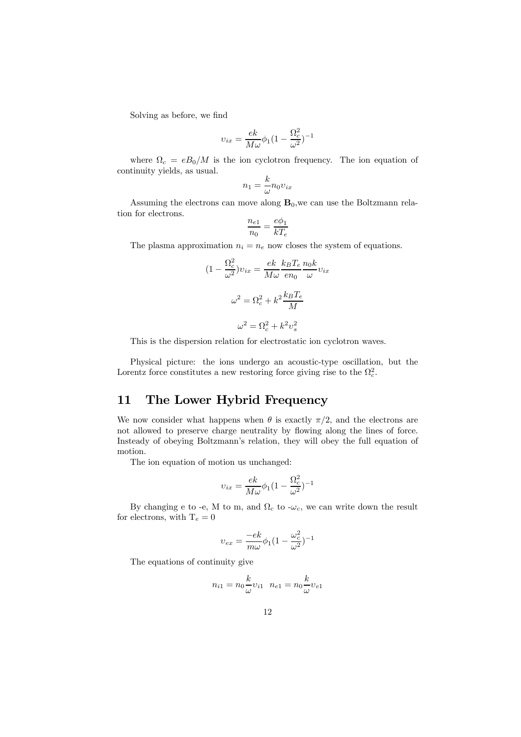Solving as before, we find

$$
v_{ix}=\frac{ek}{M\omega}\phi_1(1-\frac{\Omega_c^2}{\omega^2})^{-1}
$$

where  $\Omega_c = eB_0/M$  is the ion cyclotron frequency. The ion equation of continuity yields, as usual.

$$
n_1 = \frac{k}{\omega} n_0 v_{ix}
$$

Assuming the electrons can move along  $B_0$ , we can use the Boltzmann relation for electrons.

$$
\frac{n_{e1}}{n_0} = \frac{e\phi_1}{kT_e}
$$

The plasma approximation  $n_i = n_e$  now closes the system of equations.

$$
(1 - \frac{\Omega_c^2}{\omega^2})v_{ix} = \frac{ek}{M\omega} \frac{k_B T_e}{en_0} \frac{n_0 k}{\omega} v_{ix}
$$

$$
\omega^2 = \Omega_c^2 + k^2 \frac{k_B T_e}{M}
$$

$$
\omega^2 = \Omega_c^2 + k^2 v_s^2
$$

This is the dispersion relation for electrostatic ion cyclotron waves.

Physical picture: the ions undergo an acoustic-type oscillation, but the Lorentz force constitutes a new restoring force giving rise to the  $\Omega_c^2$ .

# 11 The Lower Hybrid Frequency

We now consider what happens when  $\theta$  is exactly  $\pi/2$ , and the electrons are not allowed to preserve charge neutrality by flowing along the lines of force. Insteady of obeying Boltzmann's relation, they will obey the full equation of motion.

The ion equation of motion us unchanged:

$$
v_{ix} = \frac{ek}{M\omega}\phi_1(1 - \frac{\Omega_c^2}{\omega^2})^{-1}
$$

By changing e to -e, M to m, and  $\Omega_c$  to - $\omega_c$ , we can write down the result for electrons, with  $T_e = 0$ 

$$
v_{ex} = \frac{-ek}{m\omega}\phi_1(1 - \frac{\omega_c^2}{\omega^2})^{-1}
$$

The equations of continuity give

$$
n_{i1} = n_0 \frac{k}{\omega} v_{i1} \quad n_{e1} = n_0 \frac{k}{\omega} v_{e1}
$$